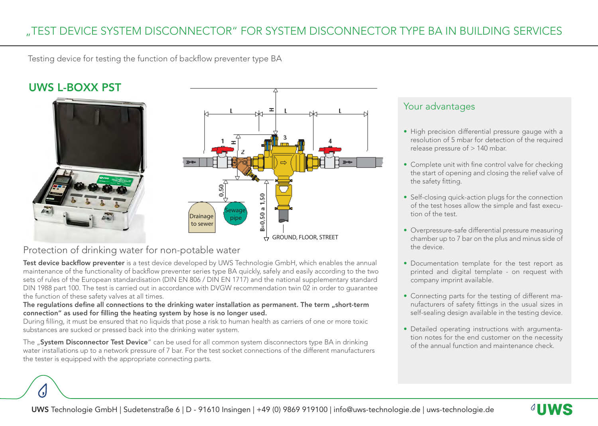Testing device for testing the function of backflow preventer type BA

# UWS L-BOXX PST





### Protection of drinking water for non-potable water

Test device backflow preventer is a test device developed by UWS Technologie GmbH, which enables the annual maintenance of the functionality of backflow preventer series type BA quickly, safely and easily according to the two sets of rules of the European standardisation (DIN EN 806 / DIN EN 1717) and the national supplementary standard DIN 1988 part 100. The test is carried out in accordance with DVGW recommendation twin 02 in order to guarantee the function of these safety valves at all times.

#### The regulations define all connections to the drinking water installation as permanent. The term "short-term connection" as used for filling the heating system by hose is no longer used.

During filling, it must be ensured that no liquids that pose a risk to human health as carriers of one or more toxic substances are sucked or pressed back into the drinking water system.

The "System Disconnector Test Device" can be used for all common system disconnectors type BA in drinking water installations up to a network pressure of 7 bar. For the test socket connections of the different manufacturers the tester is equipped with the appropriate connecting parts.

#### Your advantages

- High precision differential pressure gauge with a resolution of 5 mbar for detection of the required release pressure of > 140 mbar.
- Complete unit with fine control valve for checking the start of opening and closing the relief valve of the safety fitting.
- Self-closing quick-action plugs for the connection of the test hoses allow the simple and fast execution of the test.
- Overpressure-safe differential pressure measuring chamber up to 7 bar on the plus and minus side of the device.
- Documentation template for the test report as printed and digital template - on request with company imprint available.
- Connecting parts for the testing of different manufacturers of safety fittings in the usual sizes in self-sealing design available in the testing device.
- Detailed operating instructions with argumentation notes for the end customer on the necessity of the annual function and maintenance check.